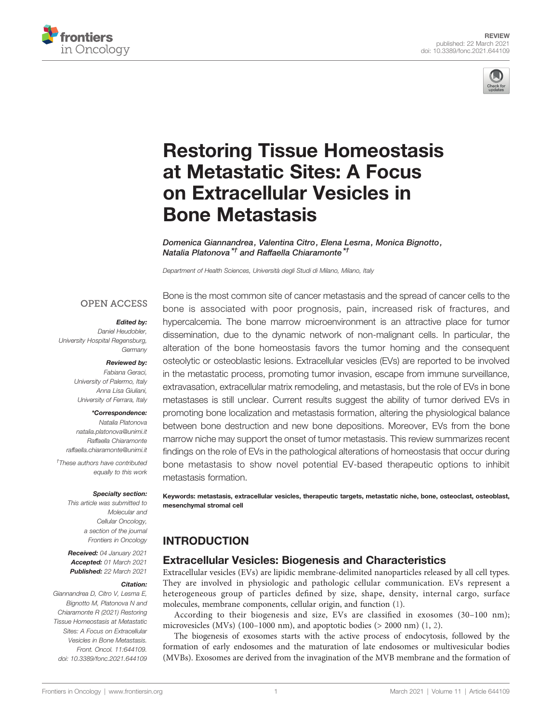



# [Restoring Tissue Homeostasis](https://www.frontiersin.org/articles/10.3389/fonc.2021.644109/full) [at Metastatic Sites: A Focus](https://www.frontiersin.org/articles/10.3389/fonc.2021.644109/full) [on Extracellular Vesicles in](https://www.frontiersin.org/articles/10.3389/fonc.2021.644109/full) [Bone Metastasis](https://www.frontiersin.org/articles/10.3389/fonc.2021.644109/full)

Domenica Giannandrea, Valentina Citro, Elena Lesma, Monica Bignotto, Natalia Platonova\*† and Raffaella Chiaramonte\*†

Department of Health Sciences, Università degli Studi di Milano, Milano, Italy

## **OPEN ACCESS**

#### Edited by:

Daniel Heudobler, University Hospital Regensburg, **Germany** 

#### Reviewed by:

Fabiana Geraci, University of Palermo, Italy Anna Lisa Giuliani, University of Ferrara, Italy

#### \*Correspondence:

Natalia Platonova [natalia.platonova@unimi.it](mailto:natalia.platonova@unimi.it) Raffaella Chiaramonte [raffaella.chiaramonte@unimi.it](mailto:raffaella.chiaramonte@unimi.it)

† These authors have contributed equally to this work

#### Specialty section:

This article was submitted to Molecular and Cellular Oncology, a section of the journal Frontiers in Oncology

Received: 04 January 2021 Accepted: 01 March 2021 Published: 22 March 2021

#### Citation:

Giannandrea D, Citro V, Lesma E, Bignotto M, Platonova N and Chiaramonte R (2021) Restoring Tissue Homeostasis at Metastatic Sites: A Focus on Extracellular Vesicles in Bone Metastasis. Front. Oncol. 11:644109. [doi: 10.3389/fonc.2021.644109](https://doi.org/10.3389/fonc.2021.644109)

Bone is the most common site of cancer metastasis and the spread of cancer cells to the bone is associated with poor prognosis, pain, increased risk of fractures, and hypercalcemia. The bone marrow microenvironment is an attractive place for tumor dissemination, due to the dynamic network of non-malignant cells. In particular, the alteration of the bone homeostasis favors the tumor homing and the consequent osteolytic or osteoblastic lesions. Extracellular vesicles (EVs) are reported to be involved in the metastatic process, promoting tumor invasion, escape from immune surveillance, extravasation, extracellular matrix remodeling, and metastasis, but the role of EVs in bone metastases is still unclear. Current results suggest the ability of tumor derived EVs in promoting bone localization and metastasis formation, altering the physiological balance between bone destruction and new bone depositions. Moreover, EVs from the bone marrow niche may support the onset of tumor metastasis. This review summarizes recent findings on the role of EVs in the pathological alterations of homeostasis that occur during bone metastasis to show novel potential EV-based therapeutic options to inhibit metastasis formation.

Keywords: metastasis, extracellular vesicles, therapeutic targets, metastatic niche, bone, osteoclast, osteoblast, mesenchymal stromal cell

# INTRODUCTION

## Extracellular Vesicles: Biogenesis and Characteristics

Extracellular vesicles (EVs) are lipidic membrane-delimited nanoparticles released by all cell types. They are involved in physiologic and pathologic cellular communication. EVs represent a heterogeneous group of particles defined by size, shape, density, internal cargo, surface molecules, membrane components, cellular origin, and function ([1](#page-8-0)).

According to their biogenesis and size, EVs are classified in exosomes (30–100 nm); microvesicles (MVs) (100–1000 nm), and apoptotic bodies (> 2000 nm) [\(1,](#page-8-0) [2](#page-8-0)).

The biogenesis of exosomes starts with the active process of endocytosis, followed by the formation of early endosomes and the maturation of late endosomes or multivesicular bodies (MVBs). Exosomes are derived from the invagination of the MVB membrane and the formation of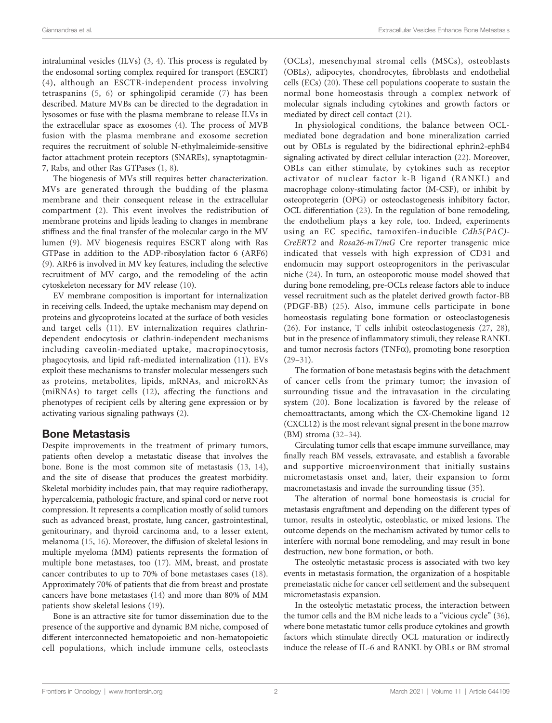intraluminal vesicles (ILVs) [\(3,](#page-8-0) [4\)](#page-8-0). This process is regulated by the endosomal sorting complex required for transport (ESCRT) ([4](#page-8-0)), although an ESCTR-independent process involving tetraspanins ([5,](#page-8-0) [6\)](#page-8-0) or sphingolipid ceramide ([7](#page-8-0)) has been described. Mature MVBs can be directed to the degradation in lysosomes or fuse with the plasma membrane to release ILVs in the extracellular space as exosomes ([4\)](#page-8-0). The process of MVB fusion with the plasma membrane and exosome secretion requires the recruitment of soluble N-ethylmaleimide-sensitive factor attachment protein receptors (SNAREs), synaptotagmin-7, Rabs, and other Ras GTPases [\(1,](#page-8-0) [8](#page-8-0)).

The biogenesis of MVs still requires better characterization. MVs are generated through the budding of the plasma membrane and their consequent release in the extracellular compartment [\(2](#page-8-0)). This event involves the redistribution of membrane proteins and lipids leading to changes in membrane stiffness and the final transfer of the molecular cargo in the MV lumen [\(9\)](#page-8-0). MV biogenesis requires ESCRT along with Ras GTPase in addition to the ADP-ribosylation factor 6 (ARF6) ([9](#page-8-0)). ARF6 is involved in MV key features, including the selective recruitment of MV cargo, and the remodeling of the actin cytoskeleton necessary for MV release [\(10](#page-8-0)).

EV membrane composition is important for internalization in receiving cells. Indeed, the uptake mechanism may depend on proteins and glycoproteins located at the surface of both vesicles and target cells ([11](#page-8-0)). EV internalization requires clathrindependent endocytosis or clathrin-independent mechanisms including caveolin-mediated uptake, macropinocytosis, phagocytosis, and lipid raft-mediated internalization ([11\)](#page-8-0). EVs exploit these mechanisms to transfer molecular messengers such as proteins, metabolites, lipids, mRNAs, and microRNAs (miRNAs) to target cells ([12](#page-8-0)), affecting the functions and phenotypes of recipient cells by altering gene expression or by activating various signaling pathways ([2](#page-8-0)).

## Bone Metastasis

Despite improvements in the treatment of primary tumors, patients often develop a metastatic disease that involves the bone. Bone is the most common site of metastasis ([13](#page-8-0), [14\)](#page-8-0), and the site of disease that produces the greatest morbidity. Skeletal morbidity includes pain, that may require radiotherapy, hypercalcemia, pathologic fracture, and spinal cord or nerve root compression. It represents a complication mostly of solid tumors such as advanced breast, prostate, lung cancer, gastrointestinal, genitourinary, and thyroid carcinoma and, to a lesser extent, melanoma [\(15](#page-8-0), [16\)](#page-8-0). Moreover, the diffusion of skeletal lesions in multiple myeloma (MM) patients represents the formation of multiple bone metastases, too ([17\)](#page-8-0). MM, breast, and prostate cancer contributes to up to 70% of bone metastases cases ([18\)](#page-8-0). Approximately 70% of patients that die from breast and prostate cancers have bone metastases ([14\)](#page-8-0) and more than 80% of MM patients show skeletal lesions [\(19](#page-8-0)).

Bone is an attractive site for tumor dissemination due to the presence of the supportive and dynamic BM niche, composed of different interconnected hematopoietic and non-hematopoietic cell populations, which include immune cells, osteoclasts

(OCLs), mesenchymal stromal cells (MSCs), osteoblasts (OBLs), adipocytes, chondrocytes, fibroblasts and endothelial cells (ECs) ([20\)](#page-8-0). These cell populations cooperate to sustain the normal bone homeostasis through a complex network of molecular signals including cytokines and growth factors or mediated by direct cell contact ([21\)](#page-8-0).

In physiological conditions, the balance between OCLmediated bone degradation and bone mineralization carried out by OBLs is regulated by the bidirectional ephrin2-ephB4 signaling activated by direct cellular interaction ([22\)](#page-8-0). Moreover, OBLs can either stimulate, by cytokines such as receptor activator of nuclear factor k-B ligand (RANKL) and macrophage colony-stimulating factor (M-CSF), or inhibit by osteoprotegerin (OPG) or osteoclastogenesis inhibitory factor, OCL differentiation [\(23](#page-8-0)). In the regulation of bone remodeling, the endothelium plays a key role, too. Indeed, experiments using an EC specific, tamoxifen-inducible Cdh5(PAC)- CreERT2 and Rosa26-mT/mG Cre reporter transgenic mice indicated that vessels with high expression of CD31 and endomucin may support osteoprogenitors in the perivascular niche [\(24](#page-8-0)). In turn, an osteoporotic mouse model showed that during bone remodeling, pre-OCLs release factors able to induce vessel recruitment such as the platelet derived growth factor-BB (PDGF-BB) ([25\)](#page-8-0). Also, immune cells participate in bone homeostasis regulating bone formation or osteoclastogenesis [\(26\)](#page-8-0). For instance, T cells inhibit osteoclastogenesis ([27,](#page-8-0) [28\)](#page-8-0), but in the presence of inflammatory stimuli, they release RANKL and tumor necrosis factors (TNF $\alpha$ ), promoting bone resorption  $(29-31)$  $(29-31)$  $(29-31)$  $(29-31)$ .

The formation of bone metastasis begins with the detachment of cancer cells from the primary tumor; the invasion of surrounding tissue and the intravasation in the circulating system ([20](#page-8-0)). Bone localization is favored by the release of chemoattractants, among which the CX-Chemokine ligand 12 (CXCL12) is the most relevant signal present in the bone marrow (BM) stroma [\(32](#page-9-0)–[34](#page-9-0)).

Circulating tumor cells that escape immune surveillance, may finally reach BM vessels, extravasate, and establish a favorable and supportive microenvironment that initially sustains micrometastasis onset and, later, their expansion to form macrometastasis and invade the surrounding tissue ([35\)](#page-9-0).

The alteration of normal bone homeostasis is crucial for metastasis engraftment and depending on the different types of tumor, results in osteolytic, osteoblastic, or mixed lesions. The outcome depends on the mechanism activated by tumor cells to interfere with normal bone remodeling, and may result in bone destruction, new bone formation, or both.

The osteolytic metastasic process is associated with two key events in metastasis formation, the organization of a hospitable premetastatic niche for cancer cell settlement and the subsequent micrometastasis expansion.

In the osteolytic metastatic process, the interaction between the tumor cells and the BM niche leads to a "vicious cycle" [\(36\)](#page-9-0), where bone metastatic tumor cells produce cytokines and growth factors which stimulate directly OCL maturation or indirectly induce the release of IL-6 and RANKL by OBLs or BM stromal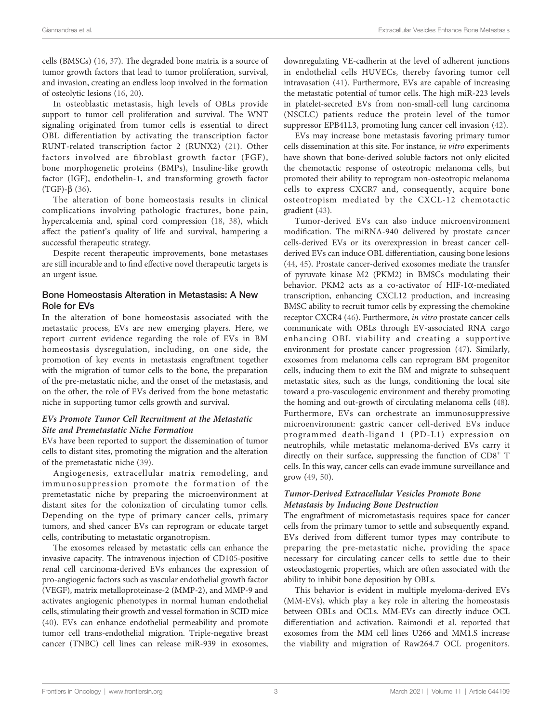cells (BMSCs) ([16,](#page-8-0) [37\)](#page-9-0). The degraded bone matrix is a source of tumor growth factors that lead to tumor proliferation, survival, and invasion, creating an endless loop involved in the formation of osteolytic lesions [\(16](#page-8-0), [20](#page-8-0)).

In osteoblastic metastasis, high levels of OBLs provide support to tumor cell proliferation and survival. The WNT signaling originated from tumor cells is essential to direct OBL differentiation by activating the transcription factor RUNT-related transcription factor 2 (RUNX2) [\(21\)](#page-8-0). Other factors involved are fibroblast growth factor (FGF), bone morphogenetic proteins (BMPs), Insuline-like growth factor (IGF), endothelin-1, and transforming growth factor  $(TGF)-\beta$  [\(36](#page-9-0)).

The alteration of bone homeostasis results in clinical complications involving pathologic fractures, bone pain, hypercalcemia and, spinal cord compression [\(18](#page-8-0), [38](#page-9-0)), which affect the patient's quality of life and survival, hampering a successful therapeutic strategy.

Despite recent therapeutic improvements, bone metastases are still incurable and to find effective novel therapeutic targets is an urgent issue.

### Bone Homeostasis Alteration in Metastasis: A New Role for EVs

In the alteration of bone homeostasis associated with the metastatic process, EVs are new emerging players. Here, we report current evidence regarding the role of EVs in BM homeostasis dysregulation, including, on one side, the promotion of key events in metastasis engraftment together with the migration of tumor cells to the bone, the preparation of the pre-metastatic niche, and the onset of the metastasis, and on the other, the role of EVs derived from the bone metastatic niche in supporting tumor cells growth and survival.

#### EVs Promote Tumor Cell Recruitment at the Metastatic Site and Premetastatic Niche Formation

EVs have been reported to support the dissemination of tumor cells to distant sites, promoting the migration and the alteration of the premetastatic niche ([39\)](#page-9-0).

Angiogenesis, extracellular matrix remodeling, and immunosuppression promote the formation of the premetastatic niche by preparing the microenvironment at distant sites for the colonization of circulating tumor cells. Depending on the type of primary cancer cells, primary tumors, and shed cancer EVs can reprogram or educate target cells, contributing to metastatic organotropism.

The exosomes released by metastatic cells can enhance the invasive capacity. The intravenous injection of CD105-positive renal cell carcinoma-derived EVs enhances the expression of pro-angiogenic factors such as vascular endothelial growth factor (VEGF), matrix metalloproteinase-2 (MMP-2), and MMP-9 and activates angiogenic phenotypes in normal human endothelial cells, stimulating their growth and vessel formation in SCID mice ([40\)](#page-9-0). EVs can enhance endothelial permeability and promote tumor cell trans-endothelial migration. Triple-negative breast cancer (TNBC) cell lines can release miR-939 in exosomes,

downregulating VE-cadherin at the level of adherent junctions in endothelial cells HUVECs, thereby favoring tumor cell intravasation [\(41\)](#page-9-0). Furthermore, EVs are capable of increasing the metastatic potential of tumor cells. The high miR-223 levels in platelet-secreted EVs from non-small-cell lung carcinoma (NSCLC) patients reduce the protein level of the tumor suppressor EPB41L3, promoting lung cancer cell invasion ([42\)](#page-9-0).

EVs may increase bone metastasis favoring primary tumor cells dissemination at this site. For instance, in vitro experiments have shown that bone-derived soluble factors not only elicited the chemotactic response of osteotropic melanoma cells, but promoted their ability to reprogram non-osteotropic melanoma cells to express CXCR7 and, consequently, acquire bone osteotropism mediated by the CXCL-12 chemotactic gradient ([43\)](#page-9-0).

Tumor-derived EVs can also induce microenvironment modification. The miRNA-940 delivered by prostate cancer cells-derived EVs or its overexpression in breast cancer cellderived EVs can induce OBL differentiation, causing bone lesions [\(44,](#page-9-0) [45\)](#page-9-0). Prostate cancer-derived exosomes mediate the transfer of pyruvate kinase M2 (PKM2) in BMSCs modulating their behavior. PKM2 acts as a co-activator of HIF-1a-mediated transcription, enhancing CXCL12 production, and increasing BMSC ability to recruit tumor cells by expressing the chemokine receptor CXCR4 [\(46\)](#page-9-0). Furthermore, in vitro prostate cancer cells communicate with OBLs through EV-associated RNA cargo enhancing OBL viability and creating a supportive environment for prostate cancer progression [\(47](#page-9-0)). Similarly, exosomes from melanoma cells can reprogram BM progenitor cells, inducing them to exit the BM and migrate to subsequent metastatic sites, such as the lungs, conditioning the local site toward a pro-vasculogenic environment and thereby promoting the homing and out-growth of circulating melanoma cells [\(48\)](#page-9-0). Furthermore, EVs can orchestrate an immunosuppressive microenvironment: gastric cancer cell-derived EVs induce programmed death-ligand 1 (PD-L1) expression on neutrophils, while metastatic melanoma-derived EVs carry it directly on their surface, suppressing the function of CD8<sup>+</sup> T cells. In this way, cancer cells can evade immune surveillance and grow [\(49](#page-9-0), [50](#page-9-0)).

#### Tumor-Derived Extracellular Vesicles Promote Bone Metastasis by Inducing Bone Destruction

The engraftment of micrometastasis requires space for cancer cells from the primary tumor to settle and subsequently expand. EVs derived from different tumor types may contribute to preparing the pre-metastatic niche, providing the space necessary for circulating cancer cells to settle due to their osteoclastogenic properties, which are often associated with the ability to inhibit bone deposition by OBLs.

This behavior is evident in multiple myeloma-derived EVs (MM-EVs), which play a key role in altering the homeostasis between OBLs and OCLs. MM-EVs can directly induce OCL differentiation and activation. Raimondi et al. reported that exosomes from the MM cell lines U266 and MM1.S increase the viability and migration of Raw264.7 OCL progenitors.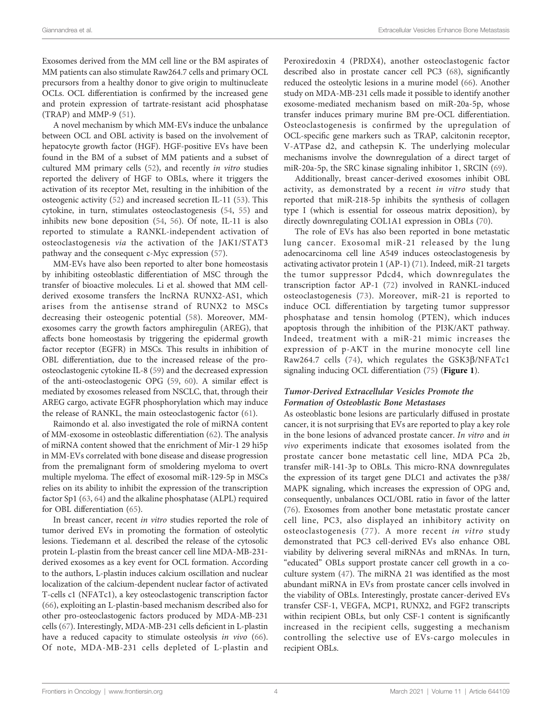Exosomes derived from the MM cell line or the BM aspirates of MM patients can also stimulate Raw264.7 cells and primary OCL precursors from a healthy donor to give origin to multinucleate OCLs. OCL differentiation is confirmed by the increased gene and protein expression of tartrate-resistant acid phosphatase (TRAP) and MMP-9 ([51\)](#page-9-0).

A novel mechanism by which MM-EVs induce the unbalance between OCL and OBL activity is based on the involvement of hepatocyte growth factor (HGF). HGF-positive EVs have been found in the BM of a subset of MM patients and a subset of cultured MM primary cells [\(52](#page-9-0)), and recently in vitro studies reported the delivery of HGF to OBLs, where it triggers the activation of its receptor Met, resulting in the inhibition of the osteogenic activity [\(52](#page-9-0)) and increased secretion IL-11 [\(53](#page-9-0)). This cytokine, in turn, stimulates osteoclastogenesis [\(54,](#page-9-0) [55\)](#page-9-0) and inhibits new bone deposition [\(54](#page-9-0), [56\)](#page-9-0). Of note, IL-11 is also reported to stimulate a RANKL-independent activation of osteoclastogenesis via the activation of the JAK1/STAT3 pathway and the consequent c-Myc expression ([57](#page-9-0)).

MM-EVs have also been reported to alter bone homeostasis by inhibiting osteoblastic differentiation of MSC through the transfer of bioactive molecules. Li et al. showed that MM cellderived exosome transfers the lncRNA RUNX2-AS1, which arises from the antisense strand of RUNX2 to MSCs decreasing their osteogenic potential ([58\)](#page-9-0). Moreover, MMexosomes carry the growth factors amphiregulin (AREG), that affects bone homeostasis by triggering the epidermal growth factor receptor (EGFR) in MSCs. This results in inhibition of OBL differentiation, due to the increased release of the proosteoclastogenic cytokine IL-8 ([59\)](#page-9-0) and the decreased expression of the anti-osteoclastogenic OPG ([59,](#page-9-0) [60](#page-9-0)). A similar effect is mediated by exosomes released from NSCLC, that, through their AREG cargo, activate EGFR phosphorylation which may induce the release of RANKL, the main osteoclastogenic factor ([61\)](#page-9-0).

Raimondo et al. also investigated the role of miRNA content of MM-exosome in osteoblastic differentiation ([62\)](#page-9-0). The analysis of miRNA content showed that the enrichment of Mir-1 29 hi5p in MM-EVs correlated with bone disease and disease progression from the premalignant form of smoldering myeloma to overt multiple myeloma. The effect of exosomal miR-129-5p in MSCs relies on its ability to inhibit the expression of the transcription factor Sp1 ([63,](#page-9-0) [64\)](#page-9-0) and the alkaline phosphatase (ALPL) required for OBL differentiation [\(65\)](#page-9-0).

In breast cancer, recent in vitro studies reported the role of tumor derived EVs in promoting the formation of osteolytic lesions. Tiedemann et al. described the release of the cytosolic protein L-plastin from the breast cancer cell line MDA‐MB‐231 derived exosomes as a key event for OCL formation. According to the authors, L-plastin induces calcium oscillation and nuclear localization of the calcium-dependent nuclear factor of activated T-cells c1 (NFATc1), a key osteoclastogenic transcription factor ([66\)](#page-9-0), exploiting an L-plastin-based mechanism described also for other pro-osteoclastogenic factors produced by MDA-MB-231 cells ([67\)](#page-9-0). Interestingly, MDA-MB-231 cells deficient in L-plastin have a reduced capacity to stimulate osteolysis in vivo ([66\)](#page-9-0). Of note, MDA-MB-231 cells depleted of L-plastin and

Peroxiredoxin 4 (PRDX4), another osteoclastogenic factor described also in prostate cancer cell PC3 ([68\)](#page-9-0), significantly reduced the osteolytic lesions in a murine model ([66\)](#page-9-0). Another study on MDA-MB-231 cells made it possible to identify another exosome-mediated mechanism based on miR-20a-5p, whose transfer induces primary murine BM pre-OCL differentiation. Osteoclastogenesis is confirmed by the upregulation of OCL-specific gene markers such as TRAP, calcitonin receptor, V-ATPase d2, and cathepsin K. The underlying molecular mechanisms involve the downregulation of a direct target of miR-20a-5p, the SRC kinase signaling inhibitor 1, SRCIN ([69\)](#page-10-0).

Additionally, breast cancer-derived exosomes inhibit OBL activity, as demonstrated by a recent in vitro study that reported that miR-218-5p inhibits the synthesis of collagen type I (which is essential for osseous matrix deposition), by directly downregulating COL1A1 expression in OBLs [\(70](#page-10-0)).

The role of EVs has also been reported in bone metastatic lung cancer. Exosomal miR-21 released by the lung adenocarcinoma cell line A549 induces osteoclastogenesis by activating activator protein 1 (AP-1) ([71\)](#page-10-0). Indeed, miR-21 targets the tumor suppressor Pdcd4, which downregulates the transcription factor AP-1 ([72\)](#page-10-0) involved in RANKL-induced osteoclastogenesis ([73\)](#page-10-0). Moreover, miR-21 is reported to induce OCL differentiation by targeting tumor suppressor phosphatase and tensin homolog (PTEN), which induces apoptosis through the inhibition of the PI3K/AKT pathway. Indeed, treatment with a miR-21 mimic increases the expression of p-AKT in the murine monocyte cell line Raw264.7 cells ([74](#page-10-0)), which regulates the GSK3 $\beta$ /NFATc1 signaling inducing OCL differentiation [\(75](#page-10-0)) ([Figure 1](#page-4-0)).

#### Tumor-Derived Extracellular Vesicles Promote the Formation of Osteoblastic Bone Metastases

As osteoblastic bone lesions are particularly diffused in prostate cancer, it is not surprising that EVs are reported to play a key role in the bone lesions of advanced prostate cancer. In vitro and in vivo experiments indicate that exosomes isolated from the prostate cancer bone metastatic cell line, MDA PCa 2b, transfer miR-141-3p to OBLs. This micro-RNA downregulates the expression of its target gene DLC1 and activates the p38/ MAPK signaling, which increases the expression of OPG and, consequently, unbalances OCL/OBL ratio in favor of the latter [\(76\)](#page-10-0). Exosomes from another bone metastatic prostate cancer cell line, PC3, also displayed an inhibitory activity on osteoclastogenesis ([77\)](#page-10-0). A more recent in vitro study demonstrated that PC3 cell-derived EVs also enhance OBL viability by delivering several miRNAs and mRNAs. In turn, "educated" OBLs support prostate cancer cell growth in a coculture system [\(47](#page-9-0)). The miRNA 21 was identified as the most abundant miRNA in EVs from prostate cancer cells involved in the viability of OBLs. Interestingly, prostate cancer-derived EVs transfer CSF-1, VEGFA, MCP1, RUNX2, and FGF2 transcripts within recipient OBLs, but only CSF-1 content is significantly increased in the recipient cells, suggesting a mechanism controlling the selective use of EVs-cargo molecules in recipient OBLs.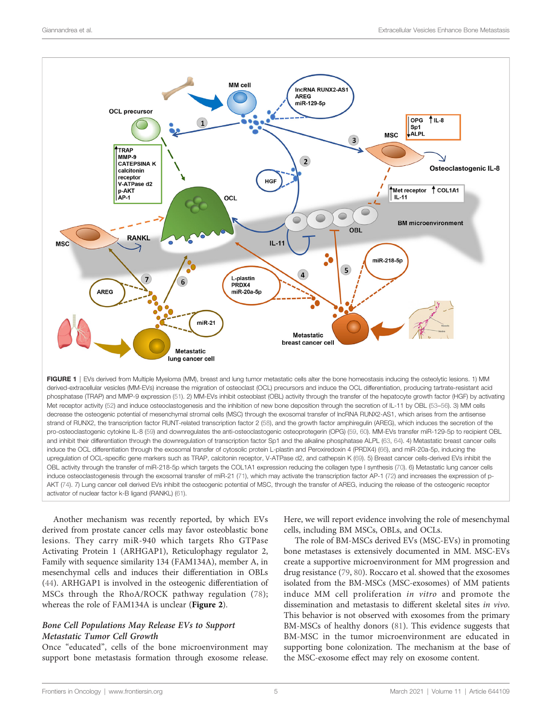<span id="page-4-0"></span>

FIGURE 1 | EVs derived from Multiple Myeloma (MM), breast and lung tumor metastatic cells alter the bone homeostasis inducing the osteolytic lesions. 1) MM derived-extracellular vesicles (MM-EVs) increase the migration of osteoclast (OCL) precursors and induce the OCL differentiation, producing tartrate-resistant acid phosphatase (TRAP) and MMP-9 expression [\(51\)](#page-9-0). 2) MM-EVs inhibit osteoblast (OBL) activity through the transfer of the hepatocyte growth factor (HGF) by activating Met receptor activity [\(52\)](#page-9-0) and induce osteoclastogenesis and the inhibition of new bone deposition through the secretion of IL-11 by OBL [\(53](#page-9-0)–[56](#page-9-0)). 3) MM cells decrease the osteogenic potential of mesenchymal stromal cells (MSC) through the exosomal transfer of lncRNA RUNX2-AS1, which arises from the antisense strand of RUNX2, the transcription factor RUNT-related transcription factor 2 [\(58](#page-9-0)), and the growth factor amphiregulin (AREG), which induces the secretion of the pro-osteoclastogenic cytokine IL-8 ([59\)](#page-9-0) and downregulates the anti-osteoclastogenic osteoprotegerin (OPG) ([59](#page-9-0), [60](#page-9-0)). MM-EVs transfer miR-129-5p to recipient OBL and inhibit their differentiation through the downregulation of transcription factor Sp1 and the alkaline phosphatase ALPL [\(63](#page-9-0), [64\)](#page-9-0). 4) Metastatic breast cancer cells induce the OCL differentiation through the exosomal transfer of cytosolic protein L-plastin and Peroxiredoxin 4 (PRDX4) ([66](#page-9-0)), and miR-20a-5p, inducing the upregulation of OCL-specific gene markers such as TRAP, calcitonin receptor, V-ATPase d2, and cathepsin K [\(69\)](#page-10-0). 5) Breast cancer cells-derived EVs inhibit the OBL activity through the transfer of miR-218-5p which targets the COL1A1 expression reducing the collagen type I synthesis ([70](#page-10-0)). 6) Metastatic lung cancer cells induce osteoclastogenesis through the exosomal transfer of miR-21 ([71\)](#page-10-0), which may activate the transcription factor AP-1 ([72](#page-10-0)) and increases the expression of p-AKT [\(74\)](#page-10-0). 7) Lung cancer cell derived EVs inhibit the osteogenic potential of MSC, through the transfer of AREG, inducing the release of the osteogenic receptor activator of nuclear factor k-B ligand (RANKL) [\(61](#page-9-0)).

Another mechanism was recently reported, by which EVs derived from prostate cancer cells may favor osteoblastic bone lesions. They carry miR-940 which targets Rho GTPase Activating Protein 1 (ARHGAP1), Reticulophagy regulator 2, Family with sequence similarity 134 (FAM134A), member A, in mesenchymal cells and induces their differentiation in OBLs ([44\)](#page-9-0). ARHGAP1 is involved in the osteogenic differentiation of MSCs through the RhoA/ROCK pathway regulation ([78\)](#page-10-0); whereas the role of FAM134A is unclear ([Figure 2](#page-5-0)).

### Bone Cell Populations May Release EVs to Support Metastatic Tumor Cell Growth

Once "educated", cells of the bone microenvironment may support bone metastasis formation through exosome release.

Here, we will report evidence involving the role of mesenchymal cells, including BM MSCs, OBLs, and OCLs.

The role of BM-MSCs derived EVs (MSC-EVs) in promoting bone metastases is extensively documented in MM. MSC-EVs create a supportive microenvironment for MM progression and drug resistance [\(79,](#page-10-0) [80\)](#page-10-0). Roccaro et al. showed that the exosomes isolated from the BM-MSCs (MSC-exosomes) of MM patients induce MM cell proliferation in vitro and promote the dissemination and metastasis to different skeletal sites in vivo. This behavior is not observed with exosomes from the primary BM-MSCs of healthy donors ([81\)](#page-10-0). This evidence suggests that BM-MSC in the tumor microenvironment are educated in supporting bone colonization. The mechanism at the base of the MSC-exosome effect may rely on exosome content.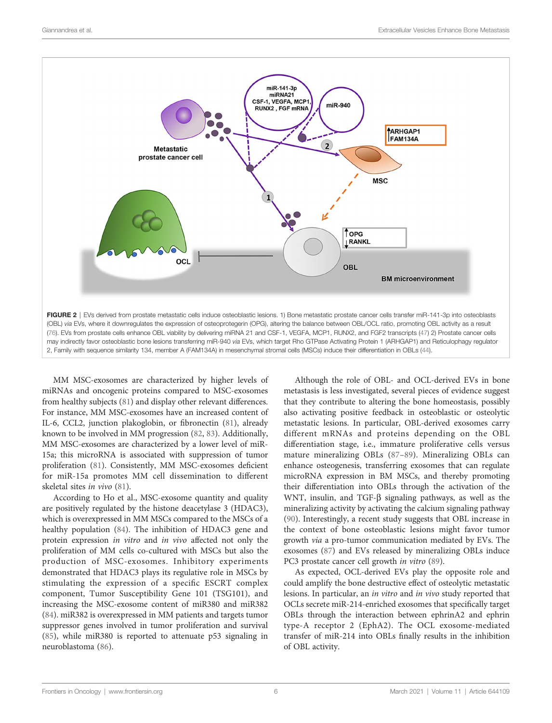<span id="page-5-0"></span>

MM MSC-exosomes are characterized by higher levels of miRNAs and oncogenic proteins compared to MSC-exosomes from healthy subjects ([81\)](#page-10-0) and display other relevant differences. For instance, MM MSC-exosomes have an increased content of IL-6, CCL2, junction plakoglobin, or fibronectin [\(81](#page-10-0)), already known to be involved in MM progression [\(82](#page-10-0), [83\)](#page-10-0). Additionally, MM MSC-exosomes are characterized by a lower level of miR-15a; this microRNA is associated with suppression of tumor proliferation [\(81\)](#page-10-0). Consistently, MM MSC-exosomes deficient for miR-15a promotes MM cell dissemination to different skeletal sites in vivo [\(81](#page-10-0)).

According to Ho et al., MSC-exosome quantity and quality are positively regulated by the histone deacetylase 3 (HDAC3), which is overexpressed in MM MSCs compared to the MSCs of a healthy population [\(84](#page-10-0)). The inhibition of HDAC3 gene and protein expression in vitro and in vivo affected not only the proliferation of MM cells co-cultured with MSCs but also the production of MSC-exosomes. Inhibitory experiments demonstrated that HDAC3 plays its regulative role in MSCs by stimulating the expression of a specific ESCRT complex component, Tumor Susceptibility Gene 101 (TSG101), and increasing the MSC-exosome content of miR380 and miR382 ([84\)](#page-10-0). miR382 is overexpressed in MM patients and targets tumor suppressor genes involved in tumor proliferation and survival ([85\)](#page-10-0), while miR380 is reported to attenuate p53 signaling in neuroblastoma ([86](#page-10-0)).

Although the role of OBL- and OCL-derived EVs in bone metastasis is less investigated, several pieces of evidence suggest that they contribute to altering the bone homeostasis, possibly also activating positive feedback in osteoblastic or osteolytic metastatic lesions. In particular, OBL-derived exosomes carry different mRNAs and proteins depending on the OBL differentiation stage, i.e., immature proliferative cells versus mature mineralizing OBLs ([87](#page-10-0)–[89](#page-10-0)). Mineralizing OBLs can enhance osteogenesis, transferring exosomes that can regulate microRNA expression in BM MSCs, and thereby promoting their differentiation into OBLs through the activation of the WNT, insulin, and TGF- $\beta$  signaling pathways, as well as the mineralizing activity by activating the calcium signaling pathway [\(90\)](#page-10-0). Interestingly, a recent study suggests that OBL increase in the context of bone osteoblastic lesions might favor tumor growth via a pro-tumor communication mediated by EVs. The exosomes [\(87\)](#page-10-0) and EVs released by mineralizing OBLs induce PC3 prostate cancer cell growth in vitro [\(89](#page-10-0)).

As expected, OCL-derived EVs play the opposite role and could amplify the bone destructive effect of osteolytic metastatic lesions. In particular, an in vitro and in vivo study reported that OCLs secrete miR-214-enriched exosomes that specifically target OBLs through the interaction between ephrinA2 and ephrin type-A receptor 2 (EphA2). The OCL exosome-mediated transfer of miR-214 into OBLs finally results in the inhibition of OBL activity.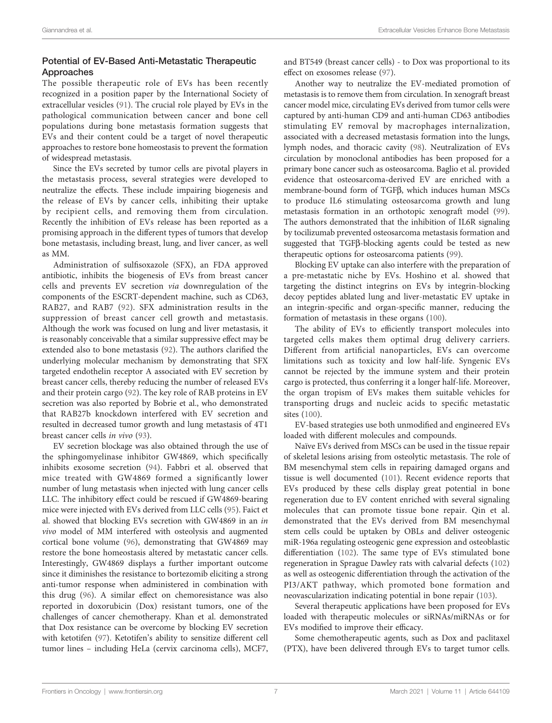## Potential of EV-Based Anti-Metastatic Therapeutic Approaches

The possible therapeutic role of EVs has been recently recognized in a position paper by the International Society of extracellular vesicles ([91\)](#page-10-0). The crucial role played by EVs in the pathological communication between cancer and bone cell populations during bone metastasis formation suggests that EVs and their content could be a target of novel therapeutic approaches to restore bone homeostasis to prevent the formation of widespread metastasis.

Since the EVs secreted by tumor cells are pivotal players in the metastasis process, several strategies were developed to neutralize the effects. These include impairing biogenesis and the release of EVs by cancer cells, inhibiting their uptake by recipient cells, and removing them from circulation. Recently the inhibition of EVs release has been reported as a promising approach in the different types of tumors that develop bone metastasis, including breast, lung, and liver cancer, as well as MM.

Administration of sulfisoxazole (SFX), an FDA approved antibiotic, inhibits the biogenesis of EVs from breast cancer cells and prevents EV secretion via downregulation of the components of the ESCRT-dependent machine, such as CD63, RAB27, and RAB7 ([92](#page-10-0)). SFX administration results in the suppression of breast cancer cell growth and metastasis. Although the work was focused on lung and liver metastasis, it is reasonably conceivable that a similar suppressive effect may be extended also to bone metastasis [\(92](#page-10-0)). The authors clarified the underlying molecular mechanism by demonstrating that SFX targeted endothelin receptor A associated with EV secretion by breast cancer cells, thereby reducing the number of released EVs and their protein cargo [\(92](#page-10-0)). The key role of RAB proteins in EV secretion was also reported by Bobrie et al., who demonstrated that RAB27b knockdown interfered with EV secretion and resulted in decreased tumor growth and lung metastasis of 4T1 breast cancer cells in vivo [\(93](#page-10-0)).

EV secretion blockage was also obtained through the use of the sphingomyelinase inhibitor GW4869, which specifically inhibits exosome secretion [\(94\)](#page-10-0). Fabbri et al. observed that mice treated with GW4869 formed a significantly lower number of lung metastasis when injected with lung cancer cells LLC. The inhibitory effect could be rescued if GW4869-bearing mice were injected with EVs derived from LLC cells [\(95](#page-10-0)). Faict et al. showed that blocking EVs secretion with GW4869 in an in vivo model of MM interfered with osteolysis and augmented cortical bone volume ([96\)](#page-10-0), demonstrating that GW4869 may restore the bone homeostasis altered by metastatic cancer cells. Interestingly, GW4869 displays a further important outcome since it diminishes the resistance to bortezomib eliciting a strong anti-tumor response when administered in combination with this drug [\(96](#page-10-0)). A similar effect on chemoresistance was also reported in doxorubicin (Dox) resistant tumors, one of the challenges of cancer chemotherapy. Khan et al. demonstrated that Dox resistance can be overcome by blocking EV secretion with ketotifen ([97\)](#page-10-0). Ketotifen's ability to sensitize different cell tumor lines – including HeLa (cervix carcinoma cells), MCF7,

and BT549 (breast cancer cells) - to Dox was proportional to its effect on exosomes release [\(97](#page-10-0)).

Another way to neutralize the EV-mediated promotion of metastasis is to remove them from circulation. In xenograft breast cancer model mice, circulating EVs derived from tumor cells were captured by anti-human CD9 and anti-human CD63 antibodies stimulating EV removal by macrophages internalization, associated with a decreased metastasis formation into the lungs, lymph nodes, and thoracic cavity ([98\)](#page-10-0). Neutralization of EVs circulation by monoclonal antibodies has been proposed for a primary bone cancer such as osteosarcoma. Baglio et al. provided evidence that osteosarcoma-derived EV are enriched with a membrane-bound form of TGF $\beta$ , which induces human MSCs to produce IL6 stimulating osteosarcoma growth and lung metastasis formation in an orthotopic xenograft model ([99\)](#page-10-0). The authors demonstrated that the inhibition of IL6R signaling by tocilizumab prevented osteosarcoma metastasis formation and suggested that TGFß-blocking agents could be tested as new therapeutic options for osteosarcoma patients ([99\)](#page-10-0).

Blocking EV uptake can also interfere with the preparation of a pre-metastatic niche by EVs. Hoshino et al. showed that targeting the distinct integrins on EVs by integrin-blocking decoy peptides ablated lung and liver-metastatic EV uptake in an integrin-specific and organ-specific manner, reducing the formation of metastasis in these organs ([100\)](#page-10-0).

The ability of EVs to efficiently transport molecules into targeted cells makes them optimal drug delivery carriers. Different from artificial nanoparticles, EVs can overcome limitations such as toxicity and low half-life. Syngenic EVs cannot be rejected by the immune system and their protein cargo is protected, thus conferring it a longer half-life. Moreover, the organ tropism of EVs makes them suitable vehicles for transporting drugs and nucleic acids to specific metastatic sites [\(100](#page-10-0)).

EV-based strategies use both unmodified and engineered EVs loaded with different molecules and compounds.

Naïve EVs derived from MSCs can be used in the tissue repair of skeletal lesions arising from osteolytic metastasis. The role of BM mesenchymal stem cells in repairing damaged organs and tissue is well documented ([101](#page-10-0)). Recent evidence reports that EVs produced by these cells display great potential in bone regeneration due to EV content enriched with several signaling molecules that can promote tissue bone repair. Qin et al. demonstrated that the EVs derived from BM mesenchymal stem cells could be uptaken by OBLs and deliver osteogenic miR-196a regulating osteogenic gene expression and osteoblastic differentiation ([102](#page-10-0)). The same type of EVs stimulated bone regeneration in Sprague Dawley rats with calvarial defects ([102\)](#page-10-0) as well as osteogenic differentiation through the activation of the PI3/AKT pathway, which promoted bone formation and neovascularization indicating potential in bone repair [\(103\)](#page-10-0).

Several therapeutic applications have been proposed for EVs loaded with therapeutic molecules or siRNAs/miRNAs or for EVs modified to improve their efficacy.

Some chemotherapeutic agents, such as Dox and paclitaxel (PTX), have been delivered through EVs to target tumor cells.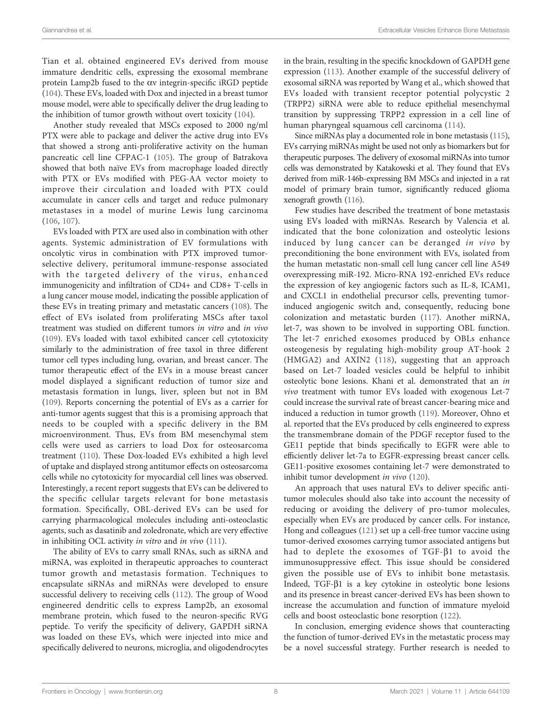Tian et al. obtained engineered EVs derived from mouse immature dendritic cells, expressing the exosomal membrane protein Lamp2b fused to the av integrin-specific iRGD peptide ([104](#page-10-0)). These EVs, loaded with Dox and injected in a breast tumor mouse model, were able to specifically deliver the drug leading to the inhibition of tumor growth without overt toxicity [\(104\)](#page-10-0).

Another study revealed that MSCs exposed to 2000 ng/ml PTX were able to package and deliver the active drug into EVs that showed a strong anti-proliferative activity on the human pancreatic cell line CFPAC-1 [\(105](#page-11-0)). The group of Batrakova showed that both naïve EVs from macrophage loaded directly with PTX or EVs modified with PEG-AA vector moiety to improve their circulation and loaded with PTX could accumulate in cancer cells and target and reduce pulmonary metastases in a model of murine Lewis lung carcinoma ([106](#page-11-0), [107\)](#page-11-0).

EVs loaded with PTX are used also in combination with other agents. Systemic administration of EV formulations with oncolytic virus in combination with PTX improved tumorselective delivery, peritumoral immune-response associated with the targeted delivery of the virus, enhanced immunogenicity and infiltration of CD4+ and CD8+ T-cells in a lung cancer mouse model, indicating the possible application of these EVs in treating primary and metastatic cancers ([108](#page-11-0)). The effect of EVs isolated from proliferating MSCs after taxol treatment was studied on different tumors in vitro and in vivo ([109](#page-11-0)). EVs loaded with taxol exhibited cancer cell cytotoxicity similarly to the administration of free taxol in three different tumor cell types including lung, ovarian, and breast cancer. The tumor therapeutic effect of the EVs in a mouse breast cancer model displayed a significant reduction of tumor size and metastasis formation in lungs, liver, spleen but not in BM ([109](#page-11-0)). Reports concerning the potential of EVs as a carrier for anti-tumor agents suggest that this is a promising approach that needs to be coupled with a specific delivery in the BM microenvironment. Thus, EVs from BM mesenchymal stem cells were used as carriers to load Dox for osteosarcoma treatment [\(110\)](#page-11-0). These Dox-loaded EVs exhibited a high level of uptake and displayed strong antitumor effects on osteosarcoma cells while no cytotoxicity for myocardial cell lines was observed. Interestingly, a recent report suggests that EVs can be delivered to the specific cellular targets relevant for bone metastasis formation. Specifically, OBL-derived EVs can be used for carrying pharmacological molecules including anti‐osteoclastic agents, such as dasatinib and zoledronate, which are very effective in inhibiting OCL activity in vitro and in vivo ([111](#page-11-0)).

The ability of EVs to carry small RNAs, such as siRNA and miRNA, was exploited in therapeutic approaches to counteract tumor growth and metastasis formation. Techniques to encapsulate siRNAs and miRNAs were developed to ensure successful delivery to receiving cells [\(112\)](#page-11-0). The group of Wood engineered dendritic cells to express Lamp2b, an exosomal membrane protein, which fused to the neuron-specific RVG peptide. To verify the specificity of delivery, GAPDH siRNA was loaded on these EVs, which were injected into mice and specifically delivered to neurons, microglia, and oligodendrocytes in the brain, resulting in the specific knockdown of GAPDH gene expression [\(113](#page-11-0)). Another example of the successful delivery of exosomal siRNA was reported by Wang et al., which showed that EVs loaded with transient receptor potential polycystic 2 (TRPP2) siRNA were able to reduce epithelial mesenchymal transition by suppressing TRPP2 expression in a cell line of human pharyngeal squamous cell carcinoma ([114\)](#page-11-0).

Since miRNAs play a documented role in bone metastasis ([115\)](#page-11-0), EVs carrying miRNAs might be used not only as biomarkers but for therapeutic purposes. The delivery of exosomal miRNAs into tumor cells was demonstrated by Katakowski et al. They found that EVs derived from miR-146b-expressing BM MSCs and injected in a rat model of primary brain tumor, significantly reduced glioma xenograft growth ([116\)](#page-11-0).

Few studies have described the treatment of bone metastasis using EVs loaded with miRNAs. Research by Valencia et al. indicated that the bone colonization and osteolytic lesions induced by lung cancer can be deranged in vivo by preconditioning the bone environment with EVs, isolated from the human metastatic non-small cell lung cancer cell line A549 overexpressing miR-192. Micro-RNA 192-enriched EVs reduce the expression of key angiogenic factors such as IL-8, ICAM1, and CXCL1 in endothelial precursor cells, preventing tumorinduced angiogenic switch and, consequently, reducing bone colonization and metastatic burden ([117\)](#page-11-0). Another miRNA, let-7, was shown to be involved in supporting OBL function. The let-7 enriched exosomes produced by OBLs enhance osteogenesis by regulating high‐mobility group AT‐hook 2 (HMGA2) and AXIN2 ([118](#page-11-0)), suggesting that an approach based on Let‐7 loaded vesicles could be helpful to inhibit osteolytic bone lesions. Khani et al. demonstrated that an in vivo treatment with tumor EVs loaded with exogenous Let-7 could increase the survival rate of breast cancer-bearing mice and induced a reduction in tumor growth ([119\)](#page-11-0). Moreover, Ohno et al. reported that the EVs produced by cells engineered to express the transmembrane domain of the PDGF receptor fused to the GE11 peptide that binds specifically to EGFR were able to efficiently deliver let-7a to EGFR-expressing breast cancer cells. GE11-positive exosomes containing let-7 were demonstrated to inhibit tumor development in vivo ([120](#page-11-0)).

An approach that uses natural EVs to deliver specific antitumor molecules should also take into account the necessity of reducing or avoiding the delivery of pro-tumor molecules, especially when EVs are produced by cancer cells. For instance, Hong and colleagues [\(121\)](#page-11-0) set up a cell-free tumor vaccine using tumor-derived exosomes carrying tumor associated antigens but had to deplete the exosomes of TGF- $\beta$ 1 to avoid the immunosuppressive effect. This issue should be considered given the possible use of EVs to inhibit bone metastasis. Indeed,  $TGF- $\beta$ 1 is a key cytokine in osteolytic bone lesions$ and its presence in breast cancer-derived EVs has been shown to increase the accumulation and function of immature myeloid cells and boost osteoclastic bone resorption [\(122](#page-11-0)).

In conclusion, emerging evidence shows that counteracting the function of tumor-derived EVs in the metastatic process may be a novel successful strategy. Further research is needed to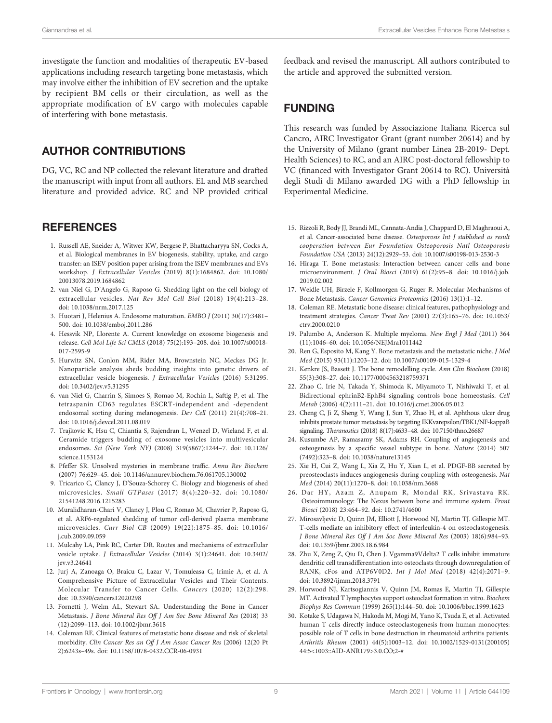<span id="page-8-0"></span>investigate the function and modalities of therapeutic EV-based applications including research targeting bone metastasis, which may involve either the inhibition of EV secretion and the uptake by recipient BM cells or their circulation, as well as the appropriate modification of EV cargo with molecules capable of interfering with bone metastasis.

# AUTHOR CONTRIBUTIONS

DG, VC, RC and NP collected the relevant literature and drafted the manuscript with input from all authors. EL and MB searched literature and provided advice. RC and NP provided critical

# **REFERENCES**

- 1. Russell AE, Sneider A, Witwer KW, Bergese P, Bhattacharyya SN, Cocks A, et al. Biological membranes in EV biogenesis, stability, uptake, and cargo transfer: an ISEV position paper arising from the ISEV membranes and EVs workshop. J Extracellular Vesicles (2019) 8(1):1684862. doi: [10.1080/](https://doi.org/10.1080/20013078.2019.1684862) [20013078.2019.1684862](https://doi.org/10.1080/20013078.2019.1684862)
- 2. van Niel G, D'Angelo G, Raposo G. Shedding light on the cell biology of extracellular vesicles. Nat Rev Mol Cell Biol (2018) 19(4):213–28. doi: [10.1038/nrm.2017.125](https://doi.org/10.1038/nrm.2017.125)
- 3. Huotari J, Helenius A. Endosome maturation. EMBO J (2011) 30(17):3481– 500. doi: [10.1038/emboj.2011.286](https://doi.org/10.1038/emboj.2011.286)
- 4. Hessvik NP, Llorente A. Current knowledge on exosome biogenesis and release. Cell Mol Life Sci CMLS (2018) 75(2):193–208. doi: [10.1007/s00018-](https://doi.org/10.1007/s00018-017-2595-9) [017-2595-9](https://doi.org/10.1007/s00018-017-2595-9)
- 5. Hurwitz SN, Conlon MM, Rider MA, Brownstein NC, Meckes DG Jr. Nanoparticle analysis sheds budding insights into genetic drivers of extracellular vesicle biogenesis. J Extracellular Vesicles (2016) 5:31295. doi: [10.3402/jev.v5.31295](https://doi.org/10.3402/jev.v5.31295)
- 6. van Niel G, Charrin S, Simoes S, Romao M, Rochin L, Saftig P, et al. The tetraspanin CD63 regulates ESCRT-independent and -dependent endosomal sorting during melanogenesis. Dev Cell (2011) 21(4):708–21. doi: [10.1016/j.devcel.2011.08.019](https://doi.org/10.1016/j.devcel.2011.08.019)
- 7. Trajkovic K, Hsu C, Chiantia S, Rajendran L, Wenzel D, Wieland F, et al. Ceramide triggers budding of exosome vesicles into multivesicular endosomes. Sci (New York NY) (2008) 319(5867):1244–7. doi: [10.1126/](https://doi.org/10.1126/science.1153124) [science.1153124](https://doi.org/10.1126/science.1153124)
- 8. Pfeffer SR. Unsolved mysteries in membrane traffic. Annu Rev Biochem (2007) 76:629–45. doi: [10.1146/annurev.biochem.76.061705.130002](https://doi.org/10.1146/annurev.biochem.76.061705.130002)
- 9. Tricarico C, Clancy J, D'Souza-Schorey C. Biology and biogenesis of shed microvesicles. Small GTPases (2017) 8(4):220–32. doi: [10.1080/](https://doi.org/10.1080/21541248.2016.1215283) [21541248.2016.1215283](https://doi.org/10.1080/21541248.2016.1215283)
- 10. Muralidharan-Chari V, Clancy J, Plou C, Romao M, Chavrier P, Raposo G, et al. ARF6-regulated shedding of tumor cell-derived plasma membrane microvesicles. Curr Biol CB (2009) 19(22):1875–85. doi: [10.1016/](https://doi.org/10.1016/j.cub.2009.09.059) [j.cub.2009.09.059](https://doi.org/10.1016/j.cub.2009.09.059)
- 11. Mulcahy LA, Pink RC, Carter DR. Routes and mechanisms of extracellular vesicle uptake. J Extracellular Vesicles (2014) 3(1):24641. doi: [10.3402/](https://doi.org/10.3402/jev.v3.24641) [jev.v3.24641](https://doi.org/10.3402/jev.v3.24641)
- 12. Jurj A, Zanoaga O, Braicu C, Lazar V, Tomuleasa C, Irimie A, et al. A Comprehensive Picture of Extracellular Vesicles and Their Contents. Molecular Transfer to Cancer Cells. Cancers (2020) 12(2):298. doi: [10.3390/cancers12020298](https://doi.org/10.3390/cancers12020298)
- 13. Fornetti J, Welm AL, Stewart SA. Understanding the Bone in Cancer Metastasis. J Bone Mineral Res Off J Am Soc Bone Mineral Res (2018) 33 (12):2099–113. doi: [10.1002/jbmr.3618](https://doi.org/10.1002/jbmr.3618)
- 14. Coleman RE. Clinical features of metastatic bone disease and risk of skeletal morbidity. Clin Cancer Res an Off J Am Assoc Cancer Res (2006) 12(20 Pt 2):6243s–49s. doi: [10.1158/1078-0432.CCR-06-0931](https://doi.org/10.1158/1078-0432.CCR-06-0931)

feedback and revised the manuscript. All authors contributed to the article and approved the submitted version.

# FUNDING

This research was funded by Associazione Italiana Ricerca sul Cancro, AIRC Investigator Grant (grant number 20614) and by the University of Milano (grant number Linea 2B-2019- Dept. Health Sciences) to RC, and an AIRC post-doctoral fellowship to VC (financed with Investigator Grant 20614 to RC). Università degli Studi di Milano awarded DG with a PhD fellowship in Experimental Medicine.

- 15. Rizzoli R, Body JJ, Brandi ML, Cannata-Andia J, Chappard D, El Maghraoui A, et al. Cancer-associated bone disease. Osteoporosis Int J stablished as result cooperation between Eur Foundation Osteoporosis Natl Osteoporosis Foundation USA (2013) 24(12):2929–53. doi: [10.1007/s00198-013-2530-3](https://doi.org/10.1007/s00198-013-2530-3)
- 16. Hiraga T. Bone metastasis: Interaction between cancer cells and bone microenvironment. J Oral Biosci (2019) 61(2):95–8. doi: [10.1016/j.job.](https://doi.org/10.1016/j.job.2019.02.002) [2019.02.002](https://doi.org/10.1016/j.job.2019.02.002)
- 17. Weidle UH, Birzele F, Kollmorgen G, Ruger R. Molecular Mechanisms of Bone Metastasis. Cancer Genomics Proteomics (2016) 13(1):1–12.
- 18. Coleman RE. Metastatic bone disease: clinical features, pathophysiology and treatment strategies. Cancer Treat Rev (2001) 27(3):165–76. doi: [10.1053/](https://doi.org/10.1053/ctrv.2000.0210) [ctrv.2000.0210](https://doi.org/10.1053/ctrv.2000.0210)
- 19. Palumbo A, Anderson K. Multiple myeloma. New Engl J Med (2011) 364 (11):1046–60. doi: [10.1056/NEJMra1011442](https://doi.org/10.1056/NEJMra1011442)
- 20. Ren G, Esposito M, Kang Y. Bone metastasis and the metastatic niche. J Mol Med (2015) 93(11):1203–12. doi: [10.1007/s00109-015-1329-4](https://doi.org/10.1007/s00109-015-1329-4)
- 21. Kenkre JS, Bassett J. The bone remodelling cycle. Ann Clin Biochem (2018) 55(3):308–27. doi: [10.1177/0004563218759371](https://doi.org/10.1177/0004563218759371)
- 22. Zhao C, Irie N, Takada Y, Shimoda K, Miyamoto T, Nishiwaki T, et al. Bidirectional ephrinB2-EphB4 signaling controls bone homeostasis. Cell Metab (2006) 4(2):111–21. doi: [10.1016/j.cmet.2006.05.012](https://doi.org/10.1016/j.cmet.2006.05.012)
- 23. Cheng C, Ji Z, Sheng Y, Wang J, Sun Y, Zhao H, et al. Aphthous ulcer drug inhibits prostate tumor metastasis by targeting IKKvarepsilon/TBK1/NF-kappaB signaling. Theranostics (2018) 8(17):4633–48. doi: [10.7150/thno.26687](https://doi.org/10.7150/thno.26687)
- 24. Kusumbe AP, Ramasamy SK, Adams RH. Coupling of angiogenesis and osteogenesis by a specific vessel subtype in bone. Nature (2014) 507 (7492):323–8. doi: [10.1038/nature13145](https://doi.org/10.1038/nature13145)
- 25. Xie H, Cui Z, Wang L, Xia Z, Hu Y, Xian L, et al. PDGF-BB secreted by preosteoclasts induces angiogenesis during coupling with osteogenesis. Nat Med (2014) 20(11):1270–8. doi: [10.1038/nm.3668](https://doi.org/10.1038/nm.3668)
- 26. Dar HY, Azam Z, Anupam R, Mondal RK, Srivastava RK. Osteoimmunology: The Nexus between bone and immune system. Front Biosci (2018) 23:464–92. doi: [10.2741/4600](https://doi.org/10.2741/4600)
- 27. Mirosavljevic D, Quinn JM, Elliott J, Horwood NJ, Martin TJ. Gillespie MT. T-cells mediate an inhibitory effect of interleukin-4 on osteoclastogenesis. J Bone Mineral Res Off J Am Soc Bone Mineral Res (2003) 18(6):984–93. doi: [10.1359/jbmr.2003.18.6.984](https://doi.org/10.1359/jbmr.2003.18.6.984)
- 28. Zhu X, Zeng Z, Qiu D, Chen J. Vgamma9Vdelta2 T cells inhibit immature dendritic cell transdifferentiation into osteoclasts through downregulation of RANK, cFos and ATP6V0D2. Int J Mol Med (2018) 42(4):2071–9. doi: [10.3892/ijmm.2018.3791](https://doi.org/10.3892/ijmm.2018.3791)
- 29. Horwood NJ, Kartsogiannis V, Quinn JM, Romas E, Martin TJ, Gillespie MT. Activated T lymphocytes support osteoclast formation in vitro. Biochem Biophys Res Commun (1999) 265(1):144–50. doi: [10.1006/bbrc.1999.1623](https://doi.org/10.1006/bbrc.1999.1623)
- 30. Kotake S, Udagawa N, Hakoda M, Mogi M, Yano K, Tsuda E, et al. Activated human T cells directly induce osteoclastogenesis from human monocytes: possible role of T cells in bone destruction in rheumatoid arthritis patients. Arthritis Rheum (2001) 44(5):1003–12. doi: [10.1002/1529-0131\(200105\)](https://doi.org/10.1002/1529-0131(200105)44:53.0.CO;2-#) [44:5<1003::AID-ANR179>3.0.CO;2-#](https://doi.org/10.1002/1529-0131(200105)44:53.0.CO;2-#)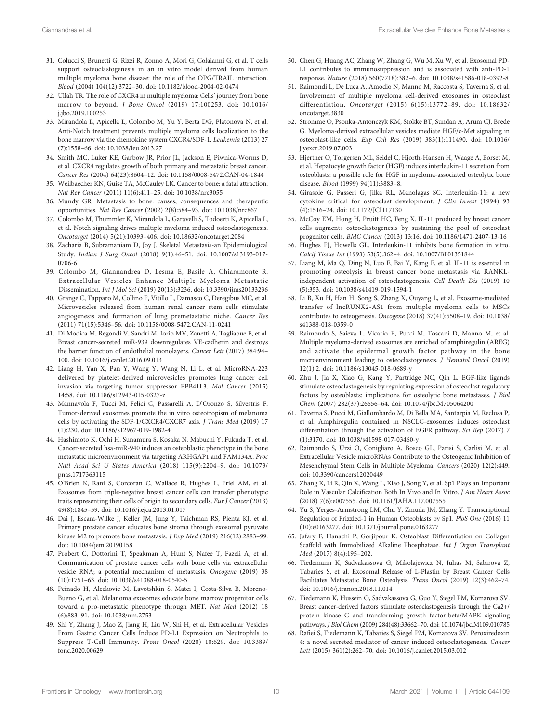- <span id="page-9-0"></span>31. Colucci S, Brunetti G, Rizzi R, Zonno A, Mori G, Colaianni G, et al. T cells support osteoclastogenesis in an in vitro model derived from human multiple myeloma bone disease: the role of the OPG/TRAIL interaction. Blood (2004) 104(12):3722–30. doi: [10.1182/blood-2004-02-0474](https://doi.org/10.1182/blood-2004-02-0474)
- 32. Ullah TR. The role of CXCR4 in multiple myeloma: Cells' journey from bone marrow to beyond. J Bone Oncol (2019) 17:100253. doi: [10.1016/](https://doi.org/10.1016/j.jbo.2019.100253) [j.jbo.2019.100253](https://doi.org/10.1016/j.jbo.2019.100253)
- 33. Mirandola L, Apicella L, Colombo M, Yu Y, Berta DG, Platonova N, et al. Anti-Notch treatment prevents multiple myeloma cells localization to the bone marrow via the chemokine system CXCR4/SDF-1. Leukemia (2013) 27 (7):1558–66. doi: [10.1038/leu.2013.27](https://doi.org/10.1038/leu.2013.27)
- 34. Smith MC, Luker KE, Garbow JR, Prior JL, Jackson E, Piwnica-Worms D, et al. CXCR4 regulates growth of both primary and metastatic breast cancer. Cancer Res (2004) 64(23):8604–12. doi: [10.1158/0008-5472.CAN-04-1844](https://doi.org/10.1158/0008-5472.CAN-04-1844)
- 35. Weilbaecher KN, Guise TA, McCauley LK. Cancer to bone: a fatal attraction. Nat Rev Cancer (2011) 11(6):411–25. doi: [10.1038/nrc3055](https://doi.org/10.1038/nrc3055)
- 36. Mundy GR. Metastasis to bone: causes, consequences and therapeutic opportunities. Nat Rev Cancer (2002) 2(8):584–93. doi: [10.1038/nrc867](https://doi.org/10.1038/nrc867)
- 37. Colombo M, Thummler K, Mirandola L, Garavelli S, Todoerti K, Apicella L, et al. Notch signaling drives multiple myeloma induced osteoclastogenesis. Oncotarget (2014) 5(21):10393–406. doi: [10.18632/oncotarget.2084](https://doi.org/10.18632/oncotarget.2084)
- 38. Zacharia B, Subramaniam D, Joy J. Skeletal Metastasis-an Epidemiological Study. Indian J Surg Oncol (2018) 9(1):46–51. doi: [10.1007/s13193-017-](https://doi.org/10.1007/s13193-017-0706-6) [0706-6](https://doi.org/10.1007/s13193-017-0706-6)
- 39. Colombo M, Giannandrea D, Lesma E, Basile A, Chiaramonte R. Extracellular Vesicles Enhance Multiple Myeloma Metastatic Dissemination. Int J Mol Sci (2019) 20(13):3236. doi: [10.3390/ijms20133236](https://doi.org/10.3390/ijms20133236)
- 40. Grange C, Tapparo M, Collino F, Vitillo L, Damasco C, Deregibus MC, et al. Microvesicles released from human renal cancer stem cells stimulate angiogenesis and formation of lung premetastatic niche. Cancer Res (2011) 71(15):5346–56. doi: [10.1158/0008-5472.CAN-11-0241](https://doi.org/10.1158/0008-5472.CAN-11-0241)
- 41. Di Modica M, Regondi V, Sandri M, Iorio MV, Zanetti A, Tagliabue E, et al. Breast cancer-secreted miR-939 downregulates VE-cadherin and destroys the barrier function of endothelial monolayers. Cancer Lett (2017) 384:94– 100. doi: [10.1016/j.canlet.2016.09.013](https://doi.org/10.1016/j.canlet.2016.09.013)
- 42. Liang H, Yan X, Pan Y, Wang Y, Wang N, Li L, et al. MicroRNA-223 delivered by platelet-derived microvesicles promotes lung cancer cell invasion via targeting tumor suppressor EPB41L3. Mol Cancer (2015) 14:58. doi: [10.1186/s12943-015-0327-z](https://doi.org/10.1186/s12943-015-0327-z)
- 43. Mannavola F, Tucci M, Felici C, Passarelli A, D'Oronzo S, Silvestris F. Tumor-derived exosomes promote the in vitro osteotropism of melanoma cells by activating the SDF-1/CXCR4/CXCR7 axis. J Trans Med (2019) 17 (1):230. doi: [10.1186/s12967-019-1982-4](https://doi.org/10.1186/s12967-019-1982-4)
- 44. Hashimoto K, Ochi H, Sunamura S, Kosaka N, Mabuchi Y, Fukuda T, et al. Cancer-secreted hsa-miR-940 induces an osteoblastic phenotype in the bone metastatic microenvironment via targeting ARHGAP1 and FAM134A. Proc Natl Acad Sci U States America (2018) 115(9):2204–9. doi: [10.1073/](https://doi.org/10.1073/pnas.1717363115) [pnas.1717363115](https://doi.org/10.1073/pnas.1717363115)
- 45. O'Brien K, Rani S, Corcoran C, Wallace R, Hughes L, Friel AM, et al. Exosomes from triple-negative breast cancer cells can transfer phenotypic traits representing their cells of origin to secondary cells. Eur J Cancer (2013) 49(8):1845–59. doi: [10.1016/j.ejca.2013.01.017](https://doi.org/10.1016/j.ejca.2013.01.017)
- 46. Dai J, Escara-Wilke J, Keller JM, Jung Y, Taichman RS, Pienta KJ, et al. Primary prostate cancer educates bone stroma through exosomal pyruvate kinase M2 to promote bone metastasis. J Exp Med (2019) 216(12):2883–99. doi: [10.1084/jem.20190158](https://doi.org/10.1084/jem.20190158)
- 47. Probert C, Dottorini T, Speakman A, Hunt S, Nafee T, Fazeli A, et al. Communication of prostate cancer cells with bone cells via extracellular vesicle RNA; a potential mechanism of metastasis. Oncogene (2019) 38 (10):1751–63. doi: [10.1038/s41388-018-0540-5](https://doi.org/10.1038/s41388-018-0540-5)
- 48. Peinado H, Aleckovic M, Lavotshkin S, Matei I, Costa-Silva B, Moreno-Bueno G, et al. Melanoma exosomes educate bone marrow progenitor cells toward a pro-metastatic phenotype through MET. Nat Med (2012) 18 (6):883–91. doi: [10.1038/nm.2753](https://doi.org/10.1038/nm.2753)
- 49. Shi Y, Zhang J, Mao Z, Jiang H, Liu W, Shi H, et al. Extracellular Vesicles From Gastric Cancer Cells Induce PD-L1 Expression on Neutrophils to Suppress T-Cell Immunity. Front Oncol (2020) 10:629. doi: [10.3389/](https://doi.org/10.3389/fonc.2020.00629) [fonc.2020.00629](https://doi.org/10.3389/fonc.2020.00629)
- 50. Chen G, Huang AC, Zhang W, Zhang G, Wu M, Xu W, et al. Exosomal PD-L1 contributes to immunosuppression and is associated with anti-PD-1 response. Nature (2018) 560(7718):382–6. doi: [10.1038/s41586-018-0392-8](https://doi.org/10.1038/s41586-018-0392-8)
- 51. Raimondi L, De Luca A, Amodio N, Manno M, Raccosta S, Taverna S, et al. Involvement of multiple myeloma cell-derived exosomes in osteoclast differentiation. Oncotarget (2015) 6(15):13772–89. doi: [10.18632/](https://doi.org/10.18632/oncotarget.3830) [oncotarget.3830](https://doi.org/10.18632/oncotarget.3830)
- 52. Stromme O, Psonka-Antonczyk KM, Stokke BT, Sundan A, Arum CJ, Brede G. Myeloma-derived extracellular vesicles mediate HGF/c-Met signaling in osteoblast-like cells. Exp Cell Res (2019) 383(1):111490. doi: [10.1016/](https://doi.org/10.1016/j.yexcr.2019.07.003) [j.yexcr.2019.07.003](https://doi.org/10.1016/j.yexcr.2019.07.003)
- 53. Hjertner O, Torgersen ML, Seidel C, Hjorth-Hansen H, Waage A, Borset M, et al. Hepatocyte growth factor (HGF) induces interleukin-11 secretion from osteoblasts: a possible role for HGF in myeloma-associated osteolytic bone disease. Blood (1999) 94(11):3883–8.
- 54. Girasole G, Passeri G, Jilka RL, Manolagas SC. Interleukin-11: a new cytokine critical for osteoclast development. J Clin Invest (1994) 93 (4):1516–24. doi: [10.1172/JCI117130](https://doi.org/10.1172/JCI117130)
- 55. McCoy EM, Hong H, Pruitt HC, Feng X. IL-11 produced by breast cancer cells augments osteoclastogenesis by sustaining the pool of osteoclast progenitor cells. BMC Cancer (2013) 13:16. doi: [10.1186/1471-2407-13-16](https://doi.org/10.1186/1471-2407-13-16)
- 56. Hughes FJ, Howells GL. Interleukin-11 inhibits bone formation in vitro. Calcif Tissue Int (1993) 53(5):362–4. doi: [10.1007/BF01351844](https://doi.org/10.1007/BF01351844)
- 57. Liang M, Ma Q, Ding N, Luo F, Bai Y, Kang F, et al. IL-11 is essential in promoting osteolysis in breast cancer bone metastasis via RANKLindependent activation of osteoclastogenesis. Cell Death Dis (2019) 10 (5):353. doi: [10.1038/s41419-019-1594-1](https://doi.org/10.1038/s41419-019-1594-1)
- 58. Li B, Xu H, Han H, Song S, Zhang X, Ouyang L, et al. Exosome-mediated transfer of lncRUNX2-AS1 from multiple myeloma cells to MSCs contributes to osteogenesis. Oncogene (2018) 37(41):5508–19. doi: [10.1038/](https://doi.org/10.1038/s41388-018-0359-0) [s41388-018-0359-0](https://doi.org/10.1038/s41388-018-0359-0)
- 59. Raimondo S, Saieva L, Vicario E, Pucci M, Toscani D, Manno M, et al. Multiple myeloma-derived exosomes are enriched of amphiregulin (AREG) and activate the epidermal growth factor pathway in the bone microenvironment leading to osteoclastogenesis. J Hematol Oncol (2019) 12(1):2. doi: [10.1186/s13045-018-0689-y](https://doi.org/10.1186/s13045-018-0689-y)
- 60. Zhu J, Jia X, Xiao G, Kang Y, Partridge NC, Qin L. EGF-like ligands stimulate osteoclastogenesis by regulating expression of osteoclast regulatory factors by osteoblasts: implications for osteolytic bone metastases. J Biol Chem (2007) 282(37):26656–64. doi: [10.1074/jbc.M705064200](https://doi.org/10.1074/jbc.M705064200)
- 61. Taverna S, Pucci M, Giallombardo M, Di Bella MA, Santarpia M, Reclusa P, et al. Amphiregulin contained in NSCLC-exosomes induces osteoclast differentiation through the activation of EGFR pathway. Sci Rep (2017) 7 (1):3170. doi: [10.1038/s41598-017-03460-y](https://doi.org/10.1038/s41598-017-03460-y)
- 62. Raimondo S, Urzi O, Conigliaro A, Bosco GL, Parisi S, Carlisi M, et al. Extracellular Vesicle microRNAs Contribute to the Osteogenic Inhibition of Mesenchymal Stem Cells in Multiple Myeloma. Cancers (2020) 12(2):449. doi: [10.3390/cancers12020449](https://doi.org/10.3390/cancers12020449)
- 63. Zhang X, Li R, Qin X, Wang L, Xiao J, Song Y, et al. Sp1 Plays an Important Role in Vascular Calcification Both In Vivo and In Vitro. J Am Heart Assoc (2018) 7(6):e007555. doi: [10.1161/JAHA.117.007555](https://doi.org/10.1161/JAHA.117.007555)
- 64. Yu S, Yerges-Armstrong LM, Chu Y, Zmuda JM, Zhang Y. Transcriptional Regulation of Frizzled-1 in Human Osteoblasts by Sp1. PloS One (2016) 11 (10):e0163277. doi: [10.1371/journal.pone.0163277](https://doi.org/10.1371/journal.pone.0163277)
- 65. Jafary F, Hanachi P, Gorjipour K. Osteoblast Differentiation on Collagen Scaffold with Immobilized Alkaline Phosphatase. Int J Organ Transplant Med (2017) 8(4):195–202.
- 66. Tiedemann K, Sadvakassova G, Mikolajewicz N, Juhas M, Sabirova Z, Tabaries S, et al. Exosomal Release of L-Plastin by Breast Cancer Cells Facilitates Metastatic Bone Osteolysis. Trans Oncol (2019) 12(3):462–74. doi: [10.1016/j.tranon.2018.11.014](https://doi.org/10.1016/j.tranon.2018.11.014)
- 67. Tiedemann K, Hussein O, Sadvakassova G, Guo Y, Siegel PM, Komarova SV. Breast cancer-derived factors stimulate osteoclastogenesis through the Ca2+/ protein kinase C and transforming growth factor-beta/MAPK signaling pathways. J Biol Chem (2009) 284(48):33662–70. doi: [10.1074/jbc.M109.010785](https://doi.org/10.1074/jbc.M109.010785)
- 68. Rafiei S, Tiedemann K, Tabaries S, Siegel PM, Komarova SV. Peroxiredoxin 4: a novel secreted mediator of cancer induced osteoclastogenesis. Cancer Lett (2015) 361(2):262–70. doi: [10.1016/j.canlet.2015.03.012](https://doi.org/10.1016/j.canlet.2015.03.012)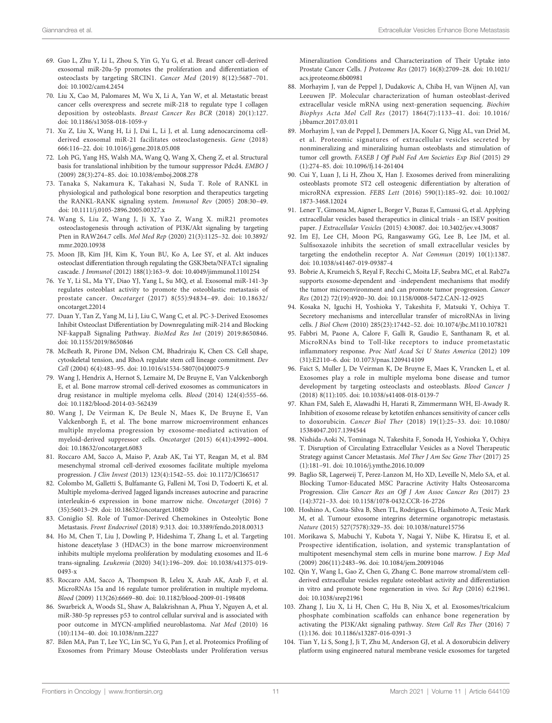- <span id="page-10-0"></span>69. Guo L, Zhu Y, Li L, Zhou S, Yin G, Yu G, et al. Breast cancer cell-derived exosomal miR-20a-5p promotes the proliferation and differentiation of osteoclasts by targeting SRCIN1. Cancer Med (2019) 8(12):5687–701. doi: [10.1002/cam4.2454](https://doi.org/10.1002/cam4.2454)
- 70. Liu X, Cao M, Palomares M, Wu X, Li A, Yan W, et al. Metastatic breast cancer cells overexpress and secrete miR-218 to regulate type I collagen deposition by osteoblasts. Breast Cancer Res BCR (2018) 20(1):127. doi: [10.1186/s13058-018-1059-y](https://doi.org/10.1186/s13058-018-1059-y)
- 71. Xu Z, Liu X, Wang H, Li J, Dai L, Li J, et al. Lung adenocarcinoma cellderived exosomal miR-21 facilitates osteoclastogenesis. Gene (2018) 666:116–22. doi: [10.1016/j.gene.2018.05.008](https://doi.org/10.1016/j.gene.2018.05.008)
- 72. Loh PG, Yang HS, Walsh MA, Wang Q, Wang X, Cheng Z, et al. Structural basis for translational inhibition by the tumour suppressor Pdcd4. EMBO J (2009) 28(3):274–85. doi: [10.1038/emboj.2008.278](https://doi.org/10.1038/emboj.2008.278)
- 73. Tanaka S, Nakamura K, Takahasi N, Suda T. Role of RANKL in physiological and pathological bone resorption and therapeutics targeting the RANKL-RANK signaling system. Immunol Rev (2005) 208:30–49. doi: [10.1111/j.0105-2896.2005.00327.x](https://doi.org/10.1111/j.0105-2896.2005.00327.x)
- 74. Wang S, Liu Z, Wang J, Ji X, Yao Z, Wang X. miR21 promotes osteoclastogenesis through activation of PI3K/Akt signaling by targeting Pten in RAW264.7 cells. Mol Med Rep (2020) 21(3):1125–32. doi: [10.3892/](https://doi.org/10.3892/mmr.2020.10938) [mmr.2020.10938](https://doi.org/10.3892/mmr.2020.10938)
- 75. Moon JB, Kim JH, Kim K, Youn BU, Ko A, Lee SY, et al. Akt induces osteoclast differentiation through regulating the GSK3beta/NFATc1 signaling cascade. J Immunol (2012) 188(1):163–9. doi: [10.4049/jimmunol.1101254](https://doi.org/10.4049/jimmunol.1101254)
- 76. Ye Y, Li SL, Ma YY, Diao YJ, Yang L, Su MQ, et al. Exosomal miR-141-3p regulates osteoblast activity to promote the osteoblastic metastasis of prostate cancer. Oncotarget (2017) 8(55):94834–49. doi: [10.18632/](https://doi.org/10.18632/oncotarget.22014) [oncotarget.22014](https://doi.org/10.18632/oncotarget.22014)
- 77. Duan Y, Tan Z, Yang M, Li J, Liu C, Wang C, et al. PC-3-Derived Exosomes Inhibit Osteoclast Differentiation by Downregulating miR-214 and Blocking NF-kappaB Signaling Pathway. BioMed Res Int (2019) 2019:8650846. doi: [10.1155/2019/8650846](https://doi.org/10.1155/2019/8650846)
- 78. McBeath R, Pirone DM, Nelson CM, Bhadriraju K, Chen CS. Cell shape, cytoskeletal tension, and RhoA regulate stem cell lineage commitment. Dev Cell (2004) 6(4):483–95. doi: [10.1016/s1534-5807\(04\)00075-9](https://doi.org/10.1016/s1534-5807(04)00075-9)
- 79. Wang J, Hendrix A, Hernot S, Lemaire M, De Bruyne E, Van Valckenborgh E, et al. Bone marrow stromal cell-derived exosomes as communicators in drug resistance in multiple myeloma cells. Blood (2014) 124(4):555–66. doi: [10.1182/blood-2014-03-562439](https://doi.org/10.1182/blood-2014-03-562439)
- 80. Wang J, De Veirman K, De Beule N, Maes K, De Bruyne E, Van Valckenborgh E, et al. The bone marrow microenvironment enhances multiple myeloma progression by exosome-mediated activation of myeloid-derived suppressor cells. Oncotarget (2015) 6(41):43992–4004. doi: [10.18632/oncotarget.6083](https://doi.org/10.18632/oncotarget.6083)
- 81. Roccaro AM, Sacco A, Maiso P, Azab AK, Tai YT, Reagan M, et al. BM mesenchymal stromal cell-derived exosomes facilitate multiple myeloma progression. J Clin Invest (2013) 123(4):1542–55. doi: [10.1172/JCI66517](https://doi.org/10.1172/JCI66517)
- 82. Colombo M, Galletti S, Bulfamante G, Falleni M, Tosi D, Todoerti K, et al. Multiple myeloma-derived Jagged ligands increases autocrine and paracrine interleukin-6 expression in bone marrow niche. Oncotarget (2016) 7 (35):56013–29. doi: [10.18632/oncotarget.10820](https://doi.org/10.18632/oncotarget.10820)
- 83. Coniglio SJ. Role of Tumor-Derived Chemokines in Osteolytic Bone Metastasis. Front Endocrinol (2018) 9:313. doi: [10.3389/fendo.2018.00313](https://doi.org/10.3389/fendo.2018.00313)
- 84. Ho M, Chen T, Liu J, Dowling P, Hideshima T, Zhang L, et al. Targeting histone deacetylase 3 (HDAC3) in the bone marrow microenvironment inhibits multiple myeloma proliferation by modulating exosomes and IL-6 trans-signaling. Leukemia (2020) 34(1):196–209. doi: [10.1038/s41375-019-](https://doi.org/10.1038/s41375-019-0493-x) [0493-x](https://doi.org/10.1038/s41375-019-0493-x)
- 85. Roccaro AM, Sacco A, Thompson B, Leleu X, Azab AK, Azab F, et al. MicroRNAs 15a and 16 regulate tumor proliferation in multiple myeloma. Blood (2009) 113(26):6669–80. doi: [10.1182/blood-2009-01-198408](https://doi.org/10.1182/blood-2009-01-198408)
- 86. Swarbrick A, Woods SL, Shaw A, Balakrishnan A, Phua Y, Nguyen A, et al. miR-380-5p represses p53 to control cellular survival and is associated with poor outcome in MYCN-amplified neuroblastoma. Nat Med (2010) 16 (10):1134–40. doi: [10.1038/nm.2227](https://doi.org/10.1038/nm.2227)
- 87. Bilen MA, Pan T, Lee YC, Lin SC, Yu G, Pan J, et al. Proteomics Profiling of Exosomes from Primary Mouse Osteoblasts under Proliferation versus

Mineralization Conditions and Characterization of Their Uptake into Prostate Cancer Cells. J Proteome Res (2017) 16(8):2709–28. doi: [10.1021/](https://doi.org/10.1021/acs.jproteome.6b00981) [acs.jproteome.6b00981](https://doi.org/10.1021/acs.jproteome.6b00981)

- 88. Morhayim J, van de Peppel J, Dudakovic A, Chiba H, van Wijnen AJ, van Leeuwen JP. Molecular characterization of human osteoblast-derived extracellular vesicle mRNA using next-generation sequencing. Biochim Biophys Acta Mol Cell Res (2017) 1864(7):1133–41. doi: [10.1016/](https://doi.org/10.1016/j.bbamcr.2017.03.011) [j.bbamcr.2017.03.011](https://doi.org/10.1016/j.bbamcr.2017.03.011)
- 89. Morhayim J, van de Peppel J, Demmers JA, Kocer G, Nigg AL, van Driel M, et al. Proteomic signatures of extracellular vesicles secreted by nonmineralizing and mineralizing human osteoblasts and stimulation of tumor cell growth. FASEB J Off Publ Fed Am Societies Exp Biol (2015) 29 (1):274–85. doi: [10.1096/fj.14-261404](https://doi.org/10.1096/fj.14-261404)
- 90. Cui Y, Luan J, Li H, Zhou X, Han J. Exosomes derived from mineralizing osteoblasts promote ST2 cell osteogenic differentiation by alteration of microRNA expression. FEBS Lett (2016) 590(1):185–92. doi: [10.1002/](https://doi.org/10.1002/1873-3468.12024) [1873-3468.12024](https://doi.org/10.1002/1873-3468.12024)
- 91. Lener T, Gimona M, Aigner L, Borger V, Buzas E, Camussi G, et al. Applying extracellular vesicles based therapeutics in clinical trials - an ISEV position paper. J Extracellular Vesicles (2015) 4:30087. doi: [10.3402/jev.v4.30087](https://doi.org/10.3402/jev.v4.30087)
- 92. Im EJ, Lee CH, Moon PG, Rangaswamy GG, Lee B, Lee JM, et al. Sulfisoxazole inhibits the secretion of small extracellular vesicles by targeting the endothelin receptor A. Nat Commun (2019) 10(1):1387. doi: [10.1038/s41467-019-09387-4](https://doi.org/10.1038/s41467-019-09387-4)
- 93. Bobrie A, Krumeich S, Reyal F, Recchi C, Moita LF, Seabra MC, et al. Rab27a supports exosome-dependent and -independent mechanisms that modify the tumor microenvironment and can promote tumor progression. Cancer Res (2012) 72(19):4920–30. doi: [10.1158/0008-5472.CAN-12-0925](https://doi.org/10.1158/0008-5472.CAN-12-0925)
- 94. Kosaka N, Iguchi H, Yoshioka Y, Takeshita F, Matsuki Y, Ochiya T. Secretory mechanisms and intercellular transfer of microRNAs in living cells. J Biol Chem (2010) 285(23):17442–52. doi: [10.1074/jbc.M110.107821](https://doi.org/10.1074/jbc.M110.107821)
- 95. Fabbri M, Paone A, Calore F, Galli R, Gaudio E, Santhanam R, et al. MicroRNAs bind to Toll-like receptors to induce prometastatic inflammatory response. Proc Natl Acad Sci U States America (2012) 109 (31):E2110–6. doi: [10.1073/pnas.1209414109](https://doi.org/10.1073/pnas.1209414109)
- 96. Faict S, Muller J, De Veirman K, De Bruyne E, Maes K, Vrancken L, et al. Exosomes play a role in multiple myeloma bone disease and tumor development by targeting osteoclasts and osteoblasts. Blood Cancer J (2018) 8(11):105. doi: [10.1038/s41408-018-0139-7](https://doi.org/10.1038/s41408-018-0139-7)
- 97. Khan FM, Saleh E, Alawadhi H, Harati R, Zimmermann WH, El-Awady R. Inhibition of exosome release by ketotifen enhances sensitivity of cancer cells to doxorubicin. Cancer Biol Ther (2018) 19(1):25–33. doi: [10.1080/](https://doi.org/10.1080/15384047.2017.1394544) [15384047.2017.1394544](https://doi.org/10.1080/15384047.2017.1394544)
- 98. Nishida-Aoki N, Tominaga N, Takeshita F, Sonoda H, Yoshioka Y, Ochiya T. Disruption of Circulating Extracellular Vesicles as a Novel Therapeutic Strategy against Cancer Metastasis. Mol Ther J Am Soc Gene Ther (2017) 25 (1):181–91. doi: [10.1016/j.ymthe.2016.10.009](https://doi.org/10.1016/j.ymthe.2016.10.009)
- 99. Baglio SR, Lagerweij T, Perez-Lanzon M, Ho XD, Leveille N, Melo SA, et al. Blocking Tumor-Educated MSC Paracrine Activity Halts Osteosarcoma Progression. Clin Cancer Res an Off J Am Assoc Cancer Res (2017) 23 (14):3721–33. doi: [10.1158/1078-0432.CCR-16-2726](https://doi.org/10.1158/1078-0432.CCR-16-2726)
- 100. Hoshino A, Costa-Silva B, Shen TL, Rodrigues G, Hashimoto A, Tesic Mark M, et al. Tumour exosome integrins determine organotropic metastasis. Nature (2015) 527(7578):329–35. doi: [10.1038/nature15756](https://doi.org/10.1038/nature15756)
- 101. Morikawa S, Mabuchi Y, Kubota Y, Nagai Y, Niibe K, Hiratsu E, et al. Prospective identification, isolation, and systemic transplantation of multipotent mesenchymal stem cells in murine bone marrow. J Exp Med (2009) 206(11):2483–96. doi: [10.1084/jem.20091046](https://doi.org/10.1084/jem.20091046)
- 102. Qin Y, Wang L, Gao Z, Chen G, Zhang C. Bone marrow stromal/stem cellderived extracellular vesicles regulate osteoblast activity and differentiation in vitro and promote bone regeneration in vivo. Sci Rep (2016) 6:21961. doi: [10.1038/srep21961](https://doi.org/10.1038/srep21961)
- 103. Zhang J, Liu X, Li H, Chen C, Hu B, Niu X, et al. Exosomes/tricalcium phosphate combination scaffolds can enhance bone regeneration by activating the PI3K/Akt signaling pathway. Stem Cell Res Ther (2016) 7 (1):136. doi: [10.1186/s13287-016-0391-3](https://doi.org/10.1186/s13287-016-0391-3)
- 104. Tian Y, Li S, Song J, Ji T, Zhu M, Anderson GJ, et al. A doxorubicin delivery platform using engineered natural membrane vesicle exosomes for targeted